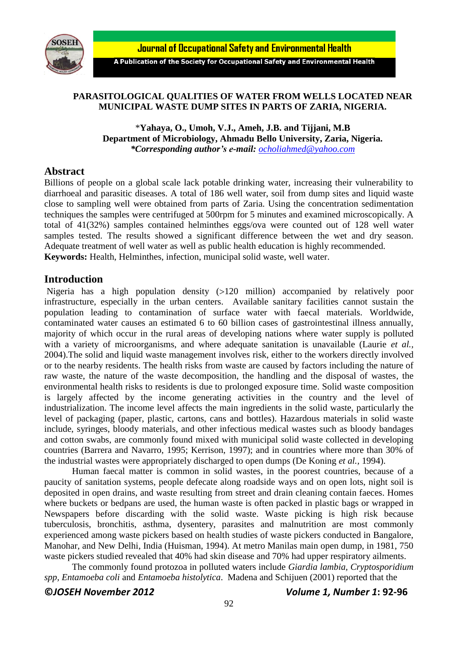

**Journal of Occupational Safety and Environmental Health** 

A Publication of the Society for Occupational Safety and Environmental Health

## **PARASITOLOGICAL QUALITIES OF WATER FROM WELLS LOCATED NEAR MUNICIPAL WASTE DUMP SITES IN PARTS OF ZARIA, NIGERIA.**

\***Yahaya, O., Umoh, V.J., Ameh, J.B. and Tijjani, M.B Department of Microbiology, Ahmadu Bello University, Zaria, Nigeria.** *\*Corresponding author's e-mail: [ocholiahmed@yahoo.com](mailto:ocholiahmed@yahoo.com)*

## **Abstract**

Billions of people on a global scale lack potable drinking water, increasing their vulnerability to diarrhoeal and parasitic diseases. A total of 186 well water, soil from dump sites and liquid waste close to sampling well were obtained from parts of Zaria. Using the concentration sedimentation techniques the samples were centrifuged at 500rpm for 5 minutes and examined microscopically. A total of 41(32%) samples contained helminthes eggs/ova were counted out of 128 well water samples tested. The results showed a significant difference between the wet and dry season. Adequate treatment of well water as well as public health education is highly recommended. **Keywords:** Health, Helminthes, infection, municipal solid waste, well water.

# **Introduction**

Nigeria has a high population density (>120 million) accompanied by relatively poor infrastructure, especially in the urban centers. Available sanitary facilities cannot sustain the population leading to contamination of surface water with faecal materials. Worldwide, contaminated water causes an estimated 6 to 60 billion cases of gastrointestinal illness annually, majority of which occur in the rural areas of developing nations where water supply is polluted with a variety of microorganisms, and where adequate sanitation is unavailable (Laurie *et al.,* 2004).The solid and liquid waste management involves risk, either to the workers directly involved or to the nearby residents. The health risks from waste are caused by factors including the nature of raw waste, the nature of the waste decomposition, the handling and the disposal of wastes, the environmental health risks to residents is due to prolonged exposure time. Solid waste composition is largely affected by the income generating activities in the country and the level of industrialization. The income level affects the main ingredients in the solid waste, particularly the level of packaging (paper, plastic, cartons, cans and bottles). Hazardous materials in solid waste include, syringes, bloody materials, and other infectious medical wastes such as bloody bandages and cotton swabs, are commonly found mixed with municipal solid waste collected in developing countries (Barrera and Navarro, 1995; Kerrison, 1997); and in countries where more than 30% of the industrial wastes were appropriately discharged to open dumps (De Koning *et al.,* 1994).

Human faecal matter is common in solid wastes, in the poorest countries, because of a paucity of sanitation systems, people defecate along roadside ways and on open lots, night soil is deposited in open drains, and waste resulting from street and drain cleaning contain faeces. Homes where buckets or bedpans are used, the human waste is often packed in plastic bags or wrapped in Newspapers before discarding with the solid waste. Waste picking is high risk because tuberculosis, bronchitis, asthma, dysentery, parasites and malnutrition are most commonly experienced among waste pickers based on health studies of waste pickers conducted in Bangalore, Manohar, and New Delhi, India (Huisman, 1994). At metro Manilas main open dump, in 1981, 750 waste pickers studied revealed that 40% had skin disease and 70% had upper respiratory ailments.

The commonly found protozoa in polluted waters include *Giardia lambia, Cryptosporidium spp, Entamoeba coli* and *Entamoeba histolytica*. Madena and Schijuen (2001) reported that the

**©***JOSEH November 2012 Volume 1, Number 1***: 92-96**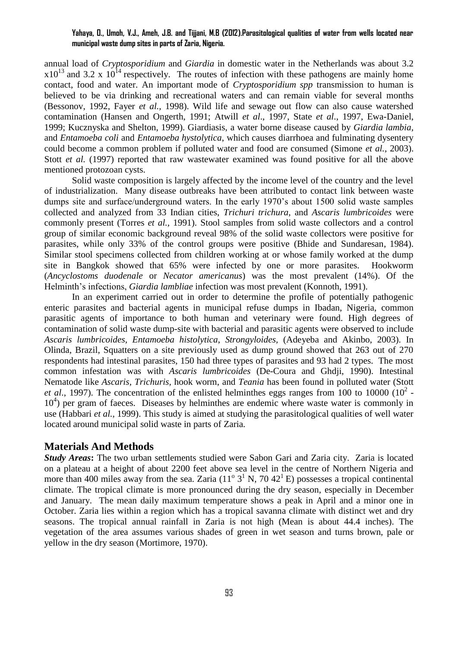### **Yahaya, O., Umoh, V.J., Ameh, J.B. and Tijjani, M.B (2012).Parasitological qualities of water from wells located near municipal waste dump sites in parts of Zaria, Nigeria.**

annual load of *Cryptosporidium* and *Giardia* in domestic water in the Netherlands was about 3.2  $x10^{13}$  and 3.2 x  $10^{14}$  respectively. The routes of infection with these pathogens are mainly home contact, food and water. An important mode of *Cryptosporidium spp* transmission to human is believed to be via drinking and recreational waters and can remain viable for several months (Bessonov, 1992, Fayer *et al.,* 1998). Wild life and sewage out flow can also cause watershed contamination (Hansen and Ongerth, 1991; Atwill *et al*., 1997, State *et al*., 1997, Ewa-Daniel, 1999; Kucznyska and Shelton, 1999). Giardiasis, a water borne disease caused by *Giardia lambia,* and *Entamoeba coli* and *Entamoeba hystolytica*, which causes diarrhoea and fulminating dysentery could become a common problem if polluted water and food are consumed (Simone *et al.,* 2003). Stott *et al.* (1997) reported that raw wastewater examined was found positive for all the above mentioned protozoan cysts.

Solid waste composition is largely affected by the income level of the country and the level of industrialization. Many disease outbreaks have been attributed to contact link between waste dumps site and surface/underground waters. In the early 1970's about 1500 solid waste samples collected and analyzed from 33 Indian cities, *Trichuri trichura,* and *Ascaris lumbricoides* were commonly present (Torres *et al.,* 1991). Stool samples from solid waste collectors and a control group of similar economic background reveal 98% of the solid waste collectors were positive for parasites, while only 33% of the control groups were positive (Bhide and Sundaresan, 1984). Similar stool specimens collected from children working at or whose family worked at the dump site in Bangkok showed that 65% were infected by one or more parasites. Hookworm (*Ancyclostoms duodenale* or *Necator americanus*) was the most prevalent (14%). Of the Helminth's infections, *Giardia lambliae* infection was most prevalent (Konnoth, 1991).

In an experiment carried out in order to determine the profile of potentially pathogenic enteric parasites and bacterial agents in municipal refuse dumps in Ibadan, Nigeria, common parasitic agents of importance to both human and veterinary were found. High degrees of contamination of solid waste dump-site with bacterial and parasitic agents were observed to include *Ascaris lumbricoides, Entamoeba histolytica*, *Strongyloides,* (Adeyeba and Akinbo, 2003). In Olinda, Brazil, Squatters on a site previously used as dump ground showed that 263 out of 270 respondents had intestinal parasites, 150 had three types of parasites and 93 had 2 types. The most common infestation was with *Ascaris lumbricoides* (De-Coura and Ghdji, 1990). Intestinal Nematode like *Ascaris, Trichuris,* hook worm, and *Teania* has been found in polluted water (Stott *et al.*, 1997). The concentration of the enlisted helminthes eggs ranges from 100 to 10000  $(10^2 -$ 10<sup>4</sup>) per gram of faeces. Diseases by helminthes are endemic where waste water is commonly in use (Habbari *et al.,* 1999). This study is aimed at studying the parasitological qualities of well water located around municipal solid waste in parts of Zaria.

#### **Materials And Methods**

*Study Areas***:** The two urban settlements studied were Sabon Gari and Zaria city. Zaria is located on a plateau at a height of about 2200 feet above sea level in the centre of Northern Nigeria and more than 400 miles away from the sea. Zaria  $(11^{\circ} 3^1 N, 70 42^1 E)$  possesses a tropical continental climate. The tropical climate is more pronounced during the dry season, especially in December and January. The mean daily maximum temperature shows a peak in April and a minor one in October. Zaria lies within a region which has a tropical savanna climate with distinct wet and dry seasons. The tropical annual rainfall in Zaria is not high (Mean is about 44.4 inches). The vegetation of the area assumes various shades of green in wet season and turns brown, pale or yellow in the dry season (Mortimore, 1970).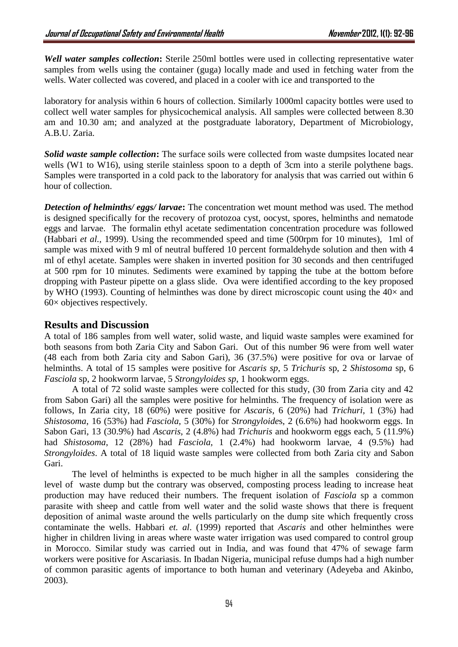*Well water samples collection***:** Sterile 250ml bottles were used in collecting representative water samples from wells using the container (guga) locally made and used in fetching water from the wells. Water collected was covered, and placed in a cooler with ice and transported to the

laboratory for analysis within 6 hours of collection. Similarly 1000ml capacity bottles were used to collect well water samples for physicochemical analysis. All samples were collected between 8.30 am and 10.30 am; and analyzed at the postgraduate laboratory, Department of Microbiology, A.B.U. Zaria.

*Solid waste sample collection***:** The surface soils were collected from waste dumpsites located near wells (W1 to W16), using sterile stainless spoon to a depth of 3cm into a sterile polythene bags. Samples were transported in a cold pack to the laboratory for analysis that was carried out within 6 hour of collection.

*Detection of helminths/ eggs/ larvae***:** The concentration wet mount method was used. The method is designed specifically for the recovery of protozoa cyst, oocyst, spores, helminths and nematode eggs and larvae. The formalin ethyl acetate sedimentation concentration procedure was followed (Habbari *et al.,* 1999). Using the recommended speed and time (500rpm for 10 minutes), 1ml of sample was mixed with 9 ml of neutral buffered 10 percent formaldehyde solution and then with 4 ml of ethyl acetate. Samples were shaken in inverted position for 30 seconds and then centrifuged at 500 rpm for 10 minutes. Sediments were examined by tapping the tube at the bottom before dropping with Pasteur pipette on a glass slide. Ova were identified according to the key proposed by WHO (1993). Counting of helminthes was done by direct microscopic count using the  $40\times$  and 60× objectives respectively.

## **Results and Discussion**

A total of 186 samples from well water, solid waste, and liquid waste samples were examined for both seasons from both Zaria City and Sabon Gari. Out of this number 96 were from well water (48 each from both Zaria city and Sabon Gari), 36 (37.5%) were positive for ova or larvae of helminths. A total of 15 samples were positive for *Ascaris sp*, 5 *Trichuris* sp, 2 *Shistosoma* sp, 6 *Fasciola* sp, 2 hookworm larvae, 5 *Strongyloides sp*, 1 hookworm eggs.

 A total of 72 solid waste samples were collected for this study, (30 from Zaria city and 42 from Sabon Gari) all the samples were positive for helminths. The frequency of isolation were as follows, In Zaria city, 18 (60%) were positive for *Ascaris*, 6 (20%) had *Trichuri,* 1 (3%) had *Shistosoma*, 16 (53%) had *Fasciola*, 5 (30%) for *Strongyloide*s, 2 (6.6%) had hookworm eggs. In Sabon Gari, 13 (30.9%) had *Ascaris*, 2 (4.8%) had *Trichuris* and hookworm eggs each, 5 (11.9%) had *Shistosoma*, 12 (28%) had *Fasciola*, 1 (2.4%) had hookworm larvae, 4 (9.5%) had *Strongyloides*. A total of 18 liquid waste samples were collected from both Zaria city and Sabon Gari.

The level of helminths is expected to be much higher in all the samples considering the level of waste dump but the contrary was observed, composting process leading to increase heat production may have reduced their numbers. The frequent isolation of *Fasciola* sp a common parasite with sheep and cattle from well water and the solid waste shows that there is frequent deposition of animal waste around the wells particularly on the dump site which frequently cross contaminate the wells. Habbari *et. al*. (1999) reported that *Ascaris* and other helminthes were higher in children living in areas where waste water irrigation was used compared to control group in Morocco. Similar study was carried out in India, and was found that 47% of sewage farm workers were positive for Ascariasis*.* In Ibadan Nigeria, municipal refuse dumps had a high number of common parasitic agents of importance to both human and veterinary (Adeyeba and Akinbo, 2003).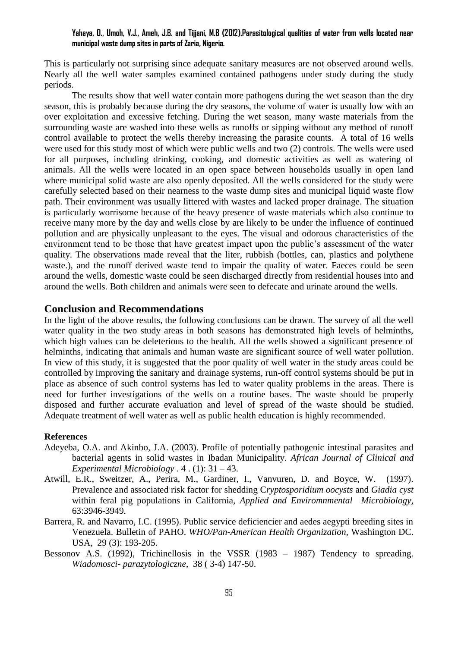### **Yahaya, O., Umoh, V.J., Ameh, J.B. and Tijjani, M.B (2012).Parasitological qualities of water from wells located near municipal waste dump sites in parts of Zaria, Nigeria.**

This is particularly not surprising since adequate sanitary measures are not observed around wells. Nearly all the well water samples examined contained pathogens under study during the study periods.

The results show that well water contain more pathogens during the wet season than the dry season, this is probably because during the dry seasons, the volume of water is usually low with an over exploitation and excessive fetching. During the wet season, many waste materials from the surrounding waste are washed into these wells as runoffs or sipping without any method of runoff control available to protect the wells thereby increasing the parasite counts. A total of 16 wells were used for this study most of which were public wells and two (2) controls. The wells were used for all purposes, including drinking, cooking, and domestic activities as well as watering of animals. All the wells were located in an open space between households usually in open land where municipal solid waste are also openly deposited. All the wells considered for the study were carefully selected based on their nearness to the waste dump sites and municipal liquid waste flow path. Their environment was usually littered with wastes and lacked proper drainage. The situation is particularly worrisome because of the heavy presence of waste materials which also continue to receive many more by the day and wells close by are likely to be under the influence of continued pollution and are physically unpleasant to the eyes. The visual and odorous characteristics of the environment tend to be those that have greatest impact upon the public's assessment of the water quality. The observations made reveal that the liter, rubbish (bottles, can, plastics and polythene waste.), and the runoff derived waste tend to impair the quality of water. Faeces could be seen around the wells, domestic waste could be seen discharged directly from residential houses into and around the wells. Both children and animals were seen to defecate and urinate around the wells.

### **Conclusion and Recommendations**

In the light of the above results, the following conclusions can be drawn. The survey of all the well water quality in the two study areas in both seasons has demonstrated high levels of helminths, which high values can be deleterious to the health. All the wells showed a significant presence of helminths, indicating that animals and human waste are significant source of well water pollution. In view of this study, it is suggested that the poor quality of well water in the study areas could be controlled by improving the sanitary and drainage systems, run-off control systems should be put in place as absence of such control systems has led to water quality problems in the areas. There is need for further investigations of the wells on a routine bases. The waste should be properly disposed and further accurate evaluation and level of spread of the waste should be studied. Adequate treatment of well water as well as public health education is highly recommended.

#### **References**

- Adeyeba, O.A. and Akinbo, J.A. (2003). Profile of potentially pathogenic intestinal parasites and bacterial agents in solid wastes in Ibadan Municipality. *African Journal of Clinical and Experimental Microbiology* . 4 . (1): 31 – 43.
- Atwill, E.R., Sweitzer, A., Perira, M., Gardiner, I., Vanvuren, D. and Boyce, W. (1997). Prevalence and associated risk factor for shedding C*ryptosporidium oocysts* and *Giadia cyst* within feral pig populations in California, *Applied and Enviromnmental Microbiology,*  63:3946-3949.
- Barrera, R. and Navarro, I.C. (1995). Public service deficiencier and aedes aegypti breeding sites in Venezuela. Bulletin of PAHO. *WHO/Pan-American Health Organization*, Washington DC. USA, 29 (3): 193-205.
- Bessonov A.S. (1992), Trichinellosis in the VSSR (1983 1987) Tendency to spreading. *Wiadomosci- parazytologiczne*, 38 ( 3-4) 147-50.